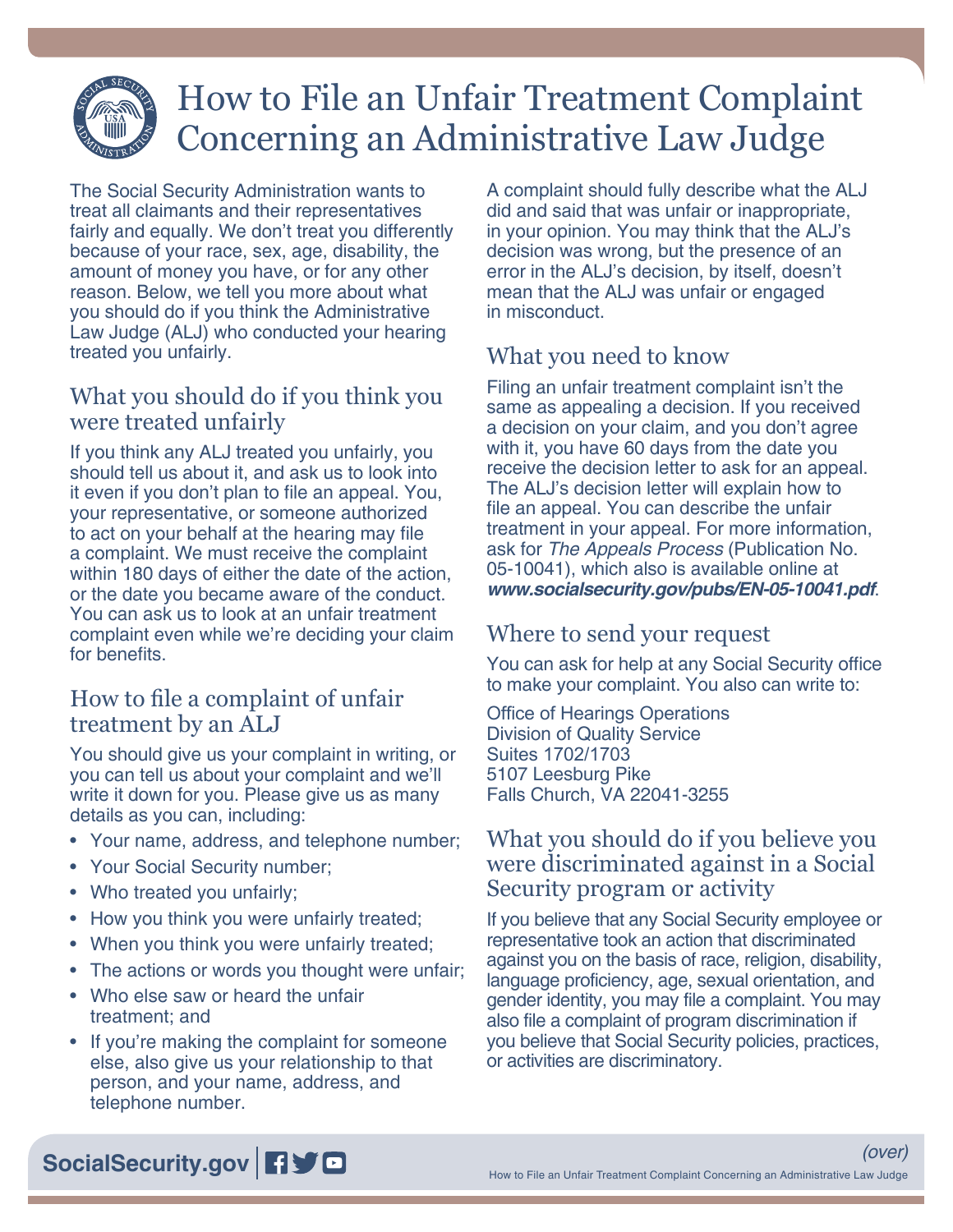# How to File an Unfair Treatment Complaint Concerning an Administrative Law Judge

The Social Security Administration wants to treat all claimants and their representatives fairly and equally. We don't treat you differently because of your race, sex, age, disability, the amount of money you have, or for any other reason. Below, we tell you more about what you should do if you think the Administrative Law Judge (ALJ) who conducted your hearing treated you unfairly.

# What you should do if you think you were treated unfairly

If you think any ALJ treated you unfairly, you should tell us about it, and ask us to look into it even if you don't plan to file an appeal. You, your representative, or someone authorized to act on your behalf at the hearing may file a complaint. We must receive the complaint within 180 days of either the date of the action, or the date you became aware of the conduct. You can ask us to look at an unfair treatment complaint even while we're deciding your claim for benefits.

# How to file a complaint of unfair treatment by an ALJ

You should give us your complaint in writing, or you can tell us about your complaint and we'll write it down for you. Please give us as many details as you can, including:

- Your name, address, and telephone number;
- Your Social Security number;
- Who treated you unfairly;
- How you think you were unfairly treated;
- When you think you were unfairly treated;
- The actions or words you thought were unfair;
- Who else saw or heard the unfair treatment; and
- If you're making the complaint for someone else, also give us your relationship to that person, and your name, address, and telephone number.

A complaint should fully describe what the ALJ did and said that was unfair or inappropriate, in your opinion. You may think that the ALJ's decision was wrong, but the presence of an error in the ALJ's decision, by itself, doesn't mean that the ALJ was unfair or engaged in misconduct.

# What you need to know

Filing an unfair treatment complaint isn't the same as appealing a decision. If you received a decision on your claim, and you don't agree with it, you have 60 days from the date you receive the decision letter to ask for an appeal. The ALJ's decision letter will explain how to file an appeal. You can describe the unfair treatment in your appeal. For more information, ask for *The Appeals Process* (Publication No. 05-10041), which also is available online at *[www.socialsecurity.gov/pubs/EN-05-10041.pdf](http://www.socialsecurity.gov/pubs/EN-05-10041.pdf)*.

# Where to send your request

You can ask for help at any Social Security office to make your complaint. You also can write to:

Office of Hearings Operations Division of Quality Service Suites 1702/1703 5107 Leesburg Pike Falls Church, VA 22041-3255

## What you should do if you believe you were discriminated against in a Social Security program or activity

If you believe that any Social Security employee or representative took an action that discriminated against you on the basis of race, religion, disability, language proficiency, age, sexual orientation, and gender identity, you may file a complaint. You may also file a complaint of program discrimination if you believe that Social Security policies, practices, or activities are discriminatory.

**[SocialSecurity.gov](http://www.socialsecurity.gov)** 日ソロ